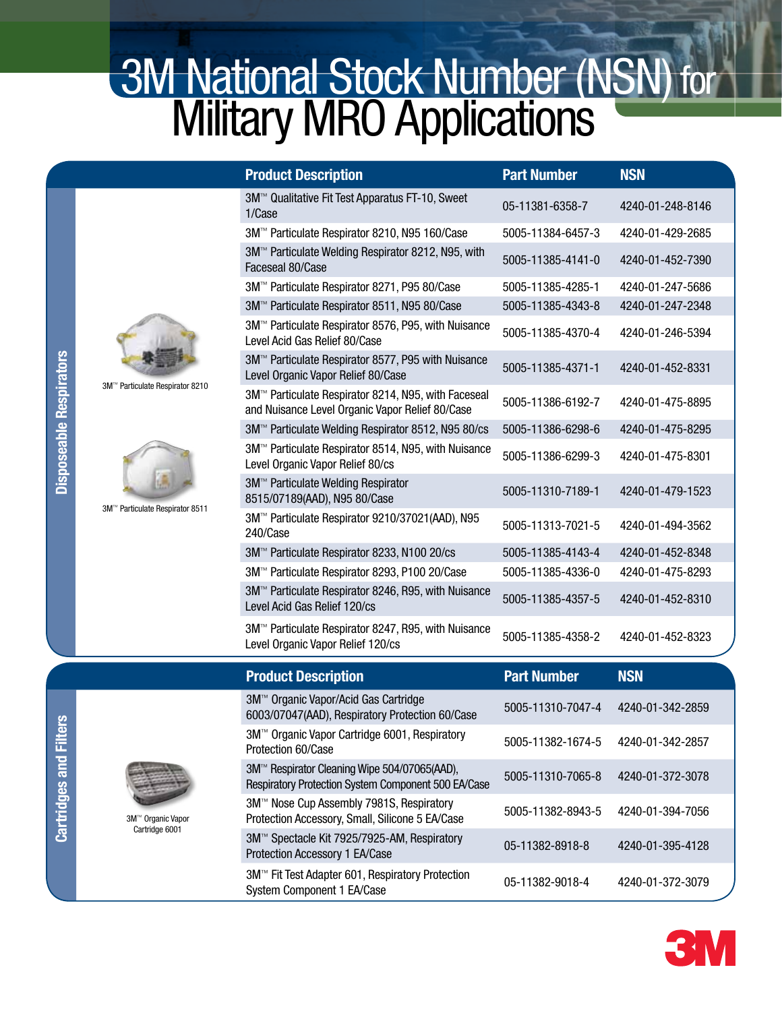## **3M National Stock Number (NSN) for Military MRO Applications**

| <b>Product Description</b>                                                                                         | <b>Part Number</b> | <b>NSN</b>       |
|--------------------------------------------------------------------------------------------------------------------|--------------------|------------------|
| 3M™ Qualitative Fit Test Apparatus FT-10, Sweet<br>1/Case                                                          | 05-11381-6358-7    | 4240-01-248-8146 |
| 3M™ Particulate Respirator 8210, N95 160/Case                                                                      | 5005-11384-6457-3  | 4240-01-429-2685 |
| 3M <sup>™</sup> Particulate Welding Respirator 8212, N95, with<br>Faceseal 80/Case                                 | 5005-11385-4141-0  | 4240-01-452-7390 |
| 3M™ Particulate Respirator 8271, P95 80/Case                                                                       | 5005-11385-4285-1  | 4240-01-247-5686 |
| 3M™ Particulate Respirator 8511, N95 80/Case                                                                       | 5005-11385-4343-8  | 4240-01-247-2348 |
| 3M™ Particulate Respirator 8576, P95, with Nuisance<br>Level Acid Gas Relief 80/Case                               | 5005-11385-4370-4  | 4240-01-246-5394 |
| 3M™ Particulate Respirator 8577, P95 with Nuisance<br>Level Organic Vapor Relief 80/Case                           | 5005-11385-4371-1  | 4240-01-452-8331 |
| 3M <sup>™</sup> Particulate Respirator 8214, N95, with Faceseal<br>and Nuisance Level Organic Vapor Relief 80/Case | 5005-11386-6192-7  | 4240-01-475-8895 |
| 3M™ Particulate Welding Respirator 8512, N95 80/cs                                                                 | 5005-11386-6298-6  | 4240-01-475-8295 |
| 3M <sup>™</sup> Particulate Respirator 8514, N95, with Nuisance<br>Level Organic Vapor Relief 80/cs                | 5005-11386-6299-3  | 4240-01-475-8301 |
| 3M™ Particulate Welding Respirator<br>8515/07189(AAD), N95 80/Case                                                 | 5005-11310-7189-1  | 4240-01-479-1523 |
| 3M™ Particulate Respirator 9210/37021(AAD), N95<br>240/Case                                                        | 5005-11313-7021-5  | 4240-01-494-3562 |
| 3M™ Particulate Respirator 8233, N100 20/cs                                                                        | 5005-11385-4143-4  | 4240-01-452-8348 |
| 3M™ Particulate Respirator 8293, P100 20/Case                                                                      | 5005-11385-4336-0  | 4240-01-475-8293 |
| 3M <sup>™</sup> Particulate Respirator 8246, R95, with Nuisance<br>Level Acid Gas Relief 120/cs                    | 5005-11385-4357-5  | 4240-01-452-8310 |
| 3M™ Particulate Respirator 8247, R95, with Nuisance<br>Level Organic Vapor Relief 120/cs                           | 5005-11385-4358-2  | 4240-01-452-8323 |
| <b>Product Description</b>                                                                                         | <b>Part Number</b> | <b>NSN</b>       |
| 3M™ Organic Vapor/Acid Gas Cartridge<br>6003/07047(AAD), Respiratory Protection 60/Case                            | 5005-11310-7047-4  | 4240-01-342-2859 |
| 3M <sup>™</sup> Organic Vapor Cartridge 6001, Respiratory<br>Protection 60/Case                                    | 5005-11382-1674-5  | 4240-01-342-2857 |
| 3M™ Respirator Cleaning Wipe 504/07065(AAD),<br>Respiratory Protection System Component 500 EA/Case                | 5005-11310-7065-8  | 4240-01-372-3078 |
| 3M™ Nose Cup Assembly 7981S, Respiratory<br>Protection Accessory, Small, Silicone 5 EA/Case                        | 5005-11382-8943-5  | 4240-01-394-7056 |
| 3M™ Spectacle Kit 7925/7925-AM, Respiratory<br>Protection Accessory 1 EA/Case                                      | 05-11382-8918-8    | 4240-01-395-4128 |
| 3M™ Fit Test Adapter 601, Respiratory Protection<br>System Component 1 EA/Case                                     | 05-11382-9018-4    | 4240-01-372-3079 |



3M™ Particulate Respirator 8210



3M™ Particulate Respirator 8511

3M™ Organic Vapor Cartridge 6001

**Cartridges and Filters** Cartridges and Filters

Disposeable Respirators

**Disposeable Respirators** 

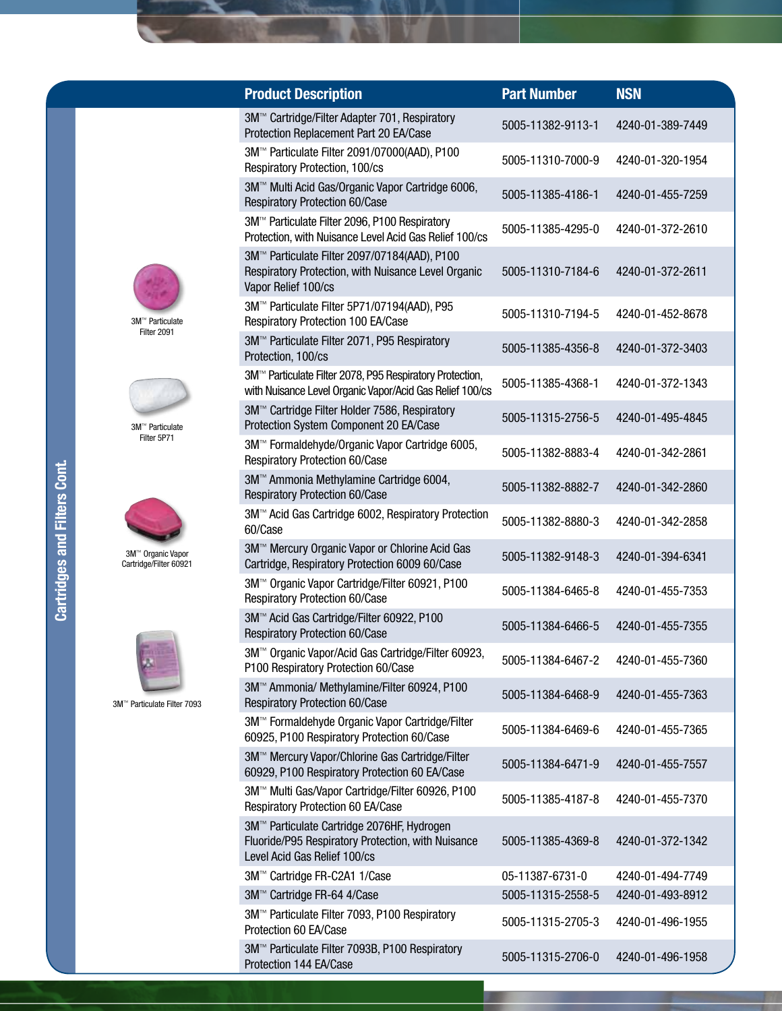|    | <b>Product Description</b>                                                                                                       | <b>Part Number</b> | <b>NSN</b>       |
|----|----------------------------------------------------------------------------------------------------------------------------------|--------------------|------------------|
|    | 3M™ Cartridge/Filter Adapter 701, Respiratory<br>Protection Replacement Part 20 EA/Case                                          | 5005-11382-9113-1  | 4240-01-389-7449 |
|    | 3M™ Particulate Filter 2091/07000(AAD), P100<br>Respiratory Protection, 100/cs                                                   | 5005-11310-7000-9  | 4240-01-320-1954 |
|    | 3M™ Multi Acid Gas/Organic Vapor Cartridge 6006,<br>Respiratory Protection 60/Case                                               | 5005-11385-4186-1  | 4240-01-455-7259 |
|    | 3M™ Particulate Filter 2096, P100 Respiratory<br>Protection, with Nuisance Level Acid Gas Relief 100/cs                          | 5005-11385-4295-0  | 4240-01-372-2610 |
|    | 3M™ Particulate Filter 2097/07184(AAD), P100<br>Respiratory Protection, with Nuisance Level Organic<br>Vapor Relief 100/cs       | 5005-11310-7184-6  | 4240-01-372-2611 |
|    | 3M™ Particulate Filter 5P71/07194(AAD), P95<br>Respiratory Protection 100 EA/Case                                                | 5005-11310-7194-5  | 4240-01-452-8678 |
|    | 3M™ Particulate Filter 2071, P95 Respiratory<br>Protection, 100/cs                                                               | 5005-11385-4356-8  | 4240-01-372-3403 |
|    | 3M <sup>™</sup> Particulate Filter 2078, P95 Respiratory Protection,<br>with Nuisance Level Organic Vapor/Acid Gas Relief 100/cs | 5005-11385-4368-1  | 4240-01-372-1343 |
|    | 3M™ Cartridge Filter Holder 7586, Respiratory<br>Protection System Component 20 EA/Case                                          | 5005-11315-2756-5  | 4240-01-495-4845 |
|    | 3M™ Formaldehyde/Organic Vapor Cartridge 6005,<br>Respiratory Protection 60/Case                                                 | 5005-11382-8883-4  | 4240-01-342-2861 |
|    | 3M™ Ammonia Methylamine Cartridge 6004,<br>Respiratory Protection 60/Case                                                        | 5005-11382-8882-7  | 4240-01-342-2860 |
|    | 3M™ Acid Gas Cartridge 6002, Respiratory Protection<br>60/Case                                                                   | 5005-11382-8880-3  | 4240-01-342-2858 |
|    | 3M™ Mercury Organic Vapor or Chlorine Acid Gas<br>Cartridge, Respiratory Protection 6009 60/Case                                 | 5005-11382-9148-3  | 4240-01-394-6341 |
|    | 3M™ Organic Vapor Cartridge/Filter 60921, P100<br><b>Respiratory Protection 60/Case</b>                                          | 5005-11384-6465-8  | 4240-01-455-7353 |
|    | 3M™ Acid Gas Cartridge/Filter 60922, P100<br>Respiratory Protection 60/Case                                                      | 5005-11384-6466-5  | 4240-01-455-7355 |
|    | 3M <sup>™</sup> Organic Vapor/Acid Gas Cartridge/Filter 60923,<br>P100 Respiratory Protection 60/Case                            | 5005-11384-6467-2  | 4240-01-455-7360 |
| 93 | 3M™ Ammonia/ Methylamine/Filter 60924, P100<br>Respiratory Protection 60/Case                                                    | 5005-11384-6468-9  | 4240-01-455-7363 |
|    | 3M™ Formaldehyde Organic Vapor Cartridge/Filter<br>60925, P100 Respiratory Protection 60/Case                                    | 5005-11384-6469-6  | 4240-01-455-7365 |
|    | 3M™ Mercury Vapor/Chlorine Gas Cartridge/Filter<br>60929, P100 Respiratory Protection 60 EA/Case                                 | 5005-11384-6471-9  | 4240-01-455-7557 |
|    | 3M™ Multi Gas/Vapor Cartridge/Filter 60926, P100<br>Respiratory Protection 60 EA/Case                                            | 5005-11385-4187-8  | 4240-01-455-7370 |
|    | 3M™ Particulate Cartridge 2076HF, Hydrogen<br>Fluoride/P95 Respiratory Protection, with Nuisance<br>Level Acid Gas Relief 100/cs | 5005-11385-4369-8  | 4240-01-372-1342 |
|    | 3M™ Cartridge FR-C2A1 1/Case                                                                                                     | 05-11387-6731-0    | 4240-01-494-7749 |
|    | 3M™ Cartridge FR-64 4/Case                                                                                                       | 5005-11315-2558-5  | 4240-01-493-8912 |
|    | 3M™ Particulate Filter 7093, P100 Respiratory<br>Protection 60 EA/Case                                                           | 5005-11315-2705-3  | 4240-01-496-1955 |
|    | 3M™ Particulate Filter 7093B, P100 Respiratory<br>Protection 144 EA/Case                                                         | 5005-11315-2706-0  | 4240-01-496-1958 |



3M™ Particulate Filter 2091



3M™ Particulate Filter 5P71



3M™ Organic Vapor Cartridge/Filter 60921



3M™ Particulate Filter 70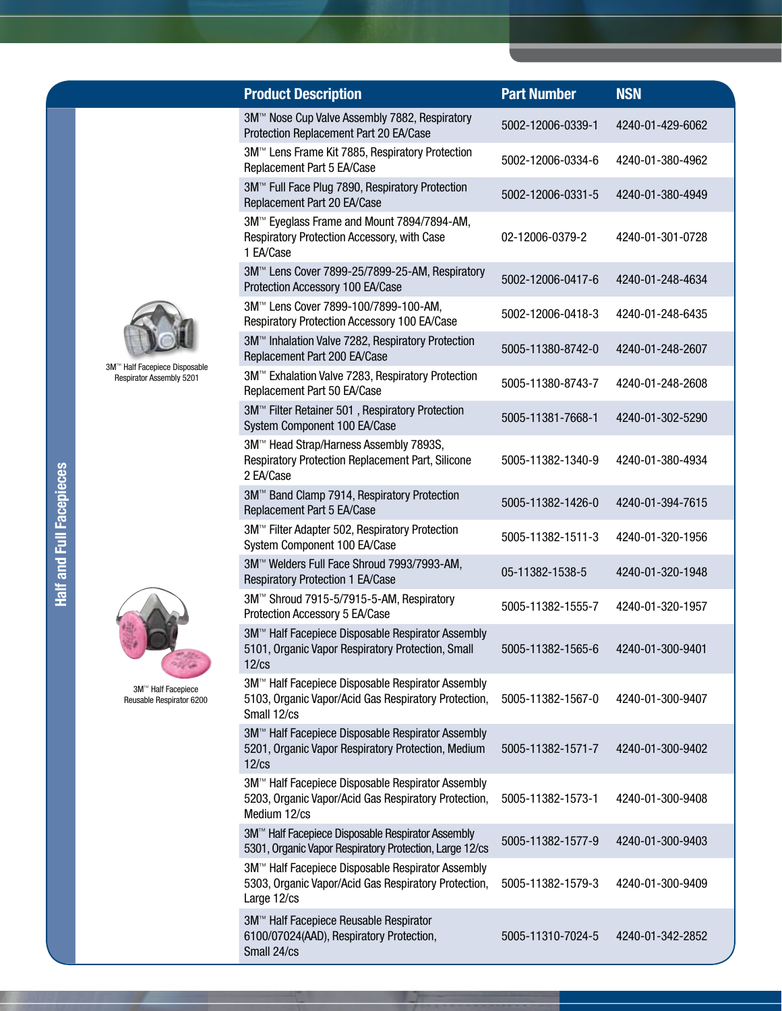|             | <b>Product Description</b>                                                                                                | <b>Part Number</b> | <b>NSN</b>       |
|-------------|---------------------------------------------------------------------------------------------------------------------------|--------------------|------------------|
|             | 3M™ Nose Cup Valve Assembly 7882, Respiratory<br>Protection Replacement Part 20 EA/Case                                   | 5002-12006-0339-1  | 4240-01-429-6062 |
|             | 3M™ Lens Frame Kit 7885, Respiratory Protection<br>Replacement Part 5 EA/Case                                             | 5002-12006-0334-6  | 4240-01-380-4962 |
|             | 3M™ Full Face Plug 7890, Respiratory Protection<br>Replacement Part 20 EA/Case                                            | 5002-12006-0331-5  | 4240-01-380-4949 |
|             | 3M™ Eyeglass Frame and Mount 7894/7894-AM,<br>Respiratory Protection Accessory, with Case<br>1 EA/Case                    | 02-12006-0379-2    | 4240-01-301-0728 |
|             | 3M™ Lens Cover 7899-25/7899-25-AM, Respiratory<br>Protection Accessory 100 EA/Case                                        | 5002-12006-0417-6  | 4240-01-248-4634 |
|             | 3M™ Lens Cover 7899-100/7899-100-AM,<br>Respiratory Protection Accessory 100 EA/Case                                      | 5002-12006-0418-3  | 4240-01-248-6435 |
|             | 3M™ Inhalation Valve 7282, Respiratory Protection<br>Replacement Part 200 EA/Case                                         | 5005-11380-8742-0  | 4240-01-248-2607 |
| sable<br>01 | 3M™ Exhalation Valve 7283, Respiratory Protection<br>Replacement Part 50 EA/Case                                          | 5005-11380-8743-7  | 4240-01-248-2608 |
|             | 3M™ Filter Retainer 501, Respiratory Protection<br>System Component 100 EA/Case                                           | 5005-11381-7668-1  | 4240-01-302-5290 |
|             | 3M™ Head Strap/Harness Assembly 7893S,<br>Respiratory Protection Replacement Part, Silicone<br>2 EA/Case                  | 5005-11382-1340-9  | 4240-01-380-4934 |
|             | 3M™ Band Clamp 7914, Respiratory Protection<br>Replacement Part 5 EA/Case                                                 | 5005-11382-1426-0  | 4240-01-394-7615 |
|             | 3M™ Filter Adapter 502, Respiratory Protection<br>System Component 100 EA/Case                                            | 5005-11382-1511-3  | 4240-01-320-1956 |
|             | 3M™ Welders Full Face Shroud 7993/7993-AM,<br>Respiratory Protection 1 EA/Case                                            | 05-11382-1538-5    | 4240-01-320-1948 |
|             | 3M™ Shroud 7915-5/7915-5-AM, Respiratory<br>Protection Accessory 5 EA/Case                                                | 5005-11382-1555-7  | 4240-01-320-1957 |
|             | 3M™ Half Facepiece Disposable Respirator Assembly<br>5101, Organic Vapor Respiratory Protection, Small<br>$12$ / $cs$     | 5005-11382-1565-6  | 4240-01-300-9401 |
| cе<br>6200  | 3M™ Half Facepiece Disposable Respirator Assembly<br>5103, Organic Vapor/Acid Gas Respiratory Protection,<br>Small 12/cs  | 5005-11382-1567-0  | 4240-01-300-9407 |
|             | 3M™ Half Facepiece Disposable Respirator Assembly<br>5201, Organic Vapor Respiratory Protection, Medium<br>$12$ / $cs$    | 5005-11382-1571-7  | 4240-01-300-9402 |
|             | 3M™ Half Facepiece Disposable Respirator Assembly<br>5203, Organic Vapor/Acid Gas Respiratory Protection,<br>Medium 12/cs | 5005-11382-1573-1  | 4240-01-300-9408 |
|             | 3M™ Half Facepiece Disposable Respirator Assembly<br>5301, Organic Vapor Respiratory Protection, Large 12/cs              | 5005-11382-1577-9  | 4240-01-300-9403 |
|             | 3M™ Half Facepiece Disposable Respirator Assembly<br>5303, Organic Vapor/Acid Gas Respiratory Protection,<br>Large 12/cs  | 5005-11382-1579-3  | 4240-01-300-9409 |
|             | 3M™ Half Facepiece Reusable Respirator<br>6100/07024(AAD), Respiratory Protection,                                        | 5005-11310-7024-5  | 4240-01-342-2852 |



3M™ Half Facepiece Disposable Respirator Assembly 5201



3M™ Half Facepiece Reusable Respirator 6200

Small 24/cs

**Half and Full Facepieces** Half and Full Facepieces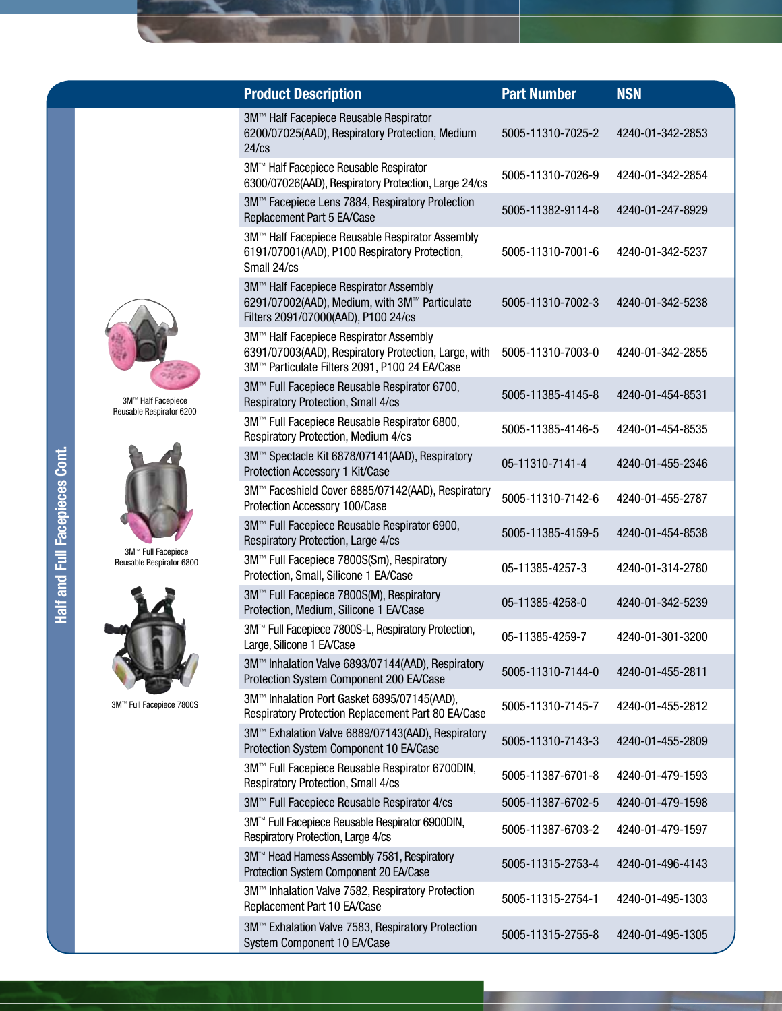| <b>Product Description</b>                                                                                                                      | <b>Part Number</b> | <b>NSN</b>       |
|-------------------------------------------------------------------------------------------------------------------------------------------------|--------------------|------------------|
| 3M™ Half Facepiece Reusable Respirator<br>6200/07025(AAD), Respiratory Protection, Medium<br>24/cs                                              | 5005-11310-7025-2  | 4240-01-342-2853 |
| 3M™ Half Facepiece Reusable Respirator<br>6300/07026(AAD), Respiratory Protection, Large 24/cs                                                  | 5005-11310-7026-9  | 4240-01-342-2854 |
| 3M™ Facepiece Lens 7884, Respiratory Protection<br>Replacement Part 5 EA/Case                                                                   | 5005-11382-9114-8  | 4240-01-247-8929 |
| 3M™ Half Facepiece Reusable Respirator Assembly<br>6191/07001(AAD), P100 Respiratory Protection,<br>Small 24/cs                                 | 5005-11310-7001-6  | 4240-01-342-5237 |
| 3M™ Half Facepiece Respirator Assembly<br>6291/07002(AAD), Medium, with 3M™ Particulate<br>Filters 2091/07000(AAD), P100 24/cs                  | 5005-11310-7002-3  | 4240-01-342-5238 |
| 3M™ Half Facepiece Respirator Assembly<br>6391/07003(AAD), Respiratory Protection, Large, with<br>3M™ Particulate Filters 2091, P100 24 EA/Case | 5005-11310-7003-0  | 4240-01-342-2855 |
| 3M™ Full Facepiece Reusable Respirator 6700,<br>Respiratory Protection, Small 4/cs                                                              | 5005-11385-4145-8  | 4240-01-454-8531 |
| 3M™ Full Facepiece Reusable Respirator 6800,<br>Respiratory Protection, Medium 4/cs                                                             | 5005-11385-4146-5  | 4240-01-454-8535 |
| 3M™ Spectacle Kit 6878/07141(AAD), Respiratory<br>Protection Accessory 1 Kit/Case                                                               | 05-11310-7141-4    | 4240-01-455-2346 |
| 3M™ Faceshield Cover 6885/07142(AAD), Respiratory<br>Protection Accessory 100/Case                                                              | 5005-11310-7142-6  | 4240-01-455-2787 |
| 3M™ Full Facepiece Reusable Respirator 6900,<br>Respiratory Protection, Large 4/cs                                                              | 5005-11385-4159-5  | 4240-01-454-8538 |
| 3M™ Full Facepiece 7800S(Sm), Respiratory<br>Protection, Small, Silicone 1 EA/Case                                                              | 05-11385-4257-3    | 4240-01-314-2780 |
| 3M™ Full Facepiece 7800S(M), Respiratory<br>Protection, Medium, Silicone 1 EA/Case                                                              | 05-11385-4258-0    | 4240-01-342-5239 |
| 3M <sup>™</sup> Full Facepiece 7800S-L, Respiratory Protection,<br>Large, Silicone 1 EA/Case                                                    | 05-11385-4259-7    | 4240-01-301-3200 |
| 3M™ Inhalation Valve 6893/07144(AAD), Respiratory<br>Protection System Component 200 EA/Case                                                    | 5005-11310-7144-0  | 4240-01-455-2811 |
| 3M™ Inhalation Port Gasket 6895/07145(AAD),<br>Respiratory Protection Replacement Part 80 EA/Case                                               | 5005-11310-7145-7  | 4240-01-455-2812 |
| 3M™ Exhalation Valve 6889/07143(AAD), Respiratory<br>Protection System Component 10 EA/Case                                                     | 5005-11310-7143-3  | 4240-01-455-2809 |
| 3M™ Full Facepiece Reusable Respirator 6700DIN,<br>Respiratory Protection, Small 4/cs                                                           | 5005-11387-6701-8  | 4240-01-479-1593 |
| 3M™ Full Facepiece Reusable Respirator 4/cs                                                                                                     | 5005-11387-6702-5  | 4240-01-479-1598 |
| 3M™ Full Facepiece Reusable Respirator 6900DIN,<br>Respiratory Protection, Large 4/cs                                                           | 5005-11387-6703-2  | 4240-01-479-1597 |
| 3M™ Head Harness Assembly 7581, Respiratory<br>Protection System Component 20 EA/Case                                                           | 5005-11315-2753-4  | 4240-01-496-4143 |
| 3M™ Inhalation Valve 7582, Respiratory Protection<br>Replacement Part 10 EA/Case                                                                | 5005-11315-2754-1  | 4240-01-495-1303 |
| 3M™ Exhalation Valve 7583, Respiratory Protection<br>System Component 10 EA/Case                                                                | 5005-11315-2755-8  | 4240-01-495-1305 |



3M™ Half Facepiece Reusable Respirator 6200



3M™ Full Facepiece Reusable Respirator 6800



3M™ Full Facepiece 7800S

Half and Full Facepieces Cont. Half and Full Facepieces Cont.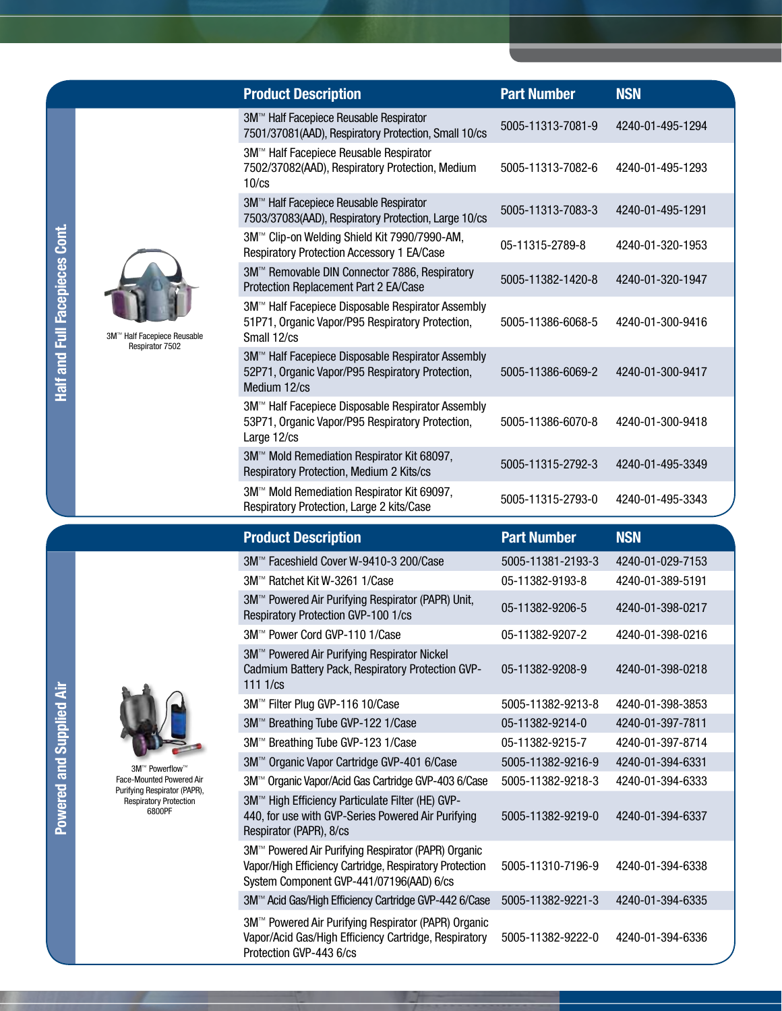| <b>Product Description</b>                                                                                            | <b>Part Number</b> | <b>NSN</b>       |
|-----------------------------------------------------------------------------------------------------------------------|--------------------|------------------|
| 3M™ Half Facepiece Reusable Respirator<br>7501/37081(AAD), Respiratory Protection, Small 10/cs                        | 5005-11313-7081-9  | 4240-01-495-1294 |
| 3M™ Half Facepiece Reusable Respirator<br>7502/37082(AAD), Respiratory Protection, Medium<br>$10$ / $cs$              | 5005-11313-7082-6  | 4240-01-495-1293 |
| 3M™ Half Facepiece Reusable Respirator<br>7503/37083(AAD), Respiratory Protection, Large 10/cs                        | 5005-11313-7083-3  | 4240-01-495-1291 |
| 3M™ Clip-on Welding Shield Kit 7990/7990-AM,<br><b>Respiratory Protection Accessory 1 EA/Case</b>                     | 05-11315-2789-8    | 4240-01-320-1953 |
| 3M™ Removable DIN Connector 7886, Respiratory<br>Protection Replacement Part 2 EA/Case                                | 5005-11382-1420-8  | 4240-01-320-1947 |
| 3M™ Half Facepiece Disposable Respirator Assembly<br>51P71, Organic Vapor/P95 Respiratory Protection,<br>Small 12/cs  | 5005-11386-6068-5  | 4240-01-300-9416 |
| 3M™ Half Facepiece Disposable Respirator Assembly<br>52P71, Organic Vapor/P95 Respiratory Protection,<br>Medium 12/cs | 5005-11386-6069-2  | 4240-01-300-9417 |
| 3M™ Half Facepiece Disposable Respirator Assembly<br>53P71, Organic Vapor/P95 Respiratory Protection,<br>Large 12/cs  | 5005-11386-6070-8  | 4240-01-300-9418 |
| 3M™ Mold Remediation Respirator Kit 68097,<br>Respiratory Protection, Medium 2 Kits/cs                                | 5005-11315-2792-3  | 4240-01-495-3349 |
| 3M™ Mold Remediation Respirator Kit 69097,<br>Respiratory Protection, Large 2 kits/Case                               | 5005-11315-2793-0  | 4240-01-495-3343 |
| <b>Product Description</b>                                                                                            | <b>Part Number</b> | <b>NSN</b>       |
| 3M™ Faceshield Cover W-9410-3 200/Case                                                                                | 5005-11381-2193-3  | 4240-01-029-7153 |
| 3M™ Ratchet Kit W-3261 1/Case                                                                                         | 05-11382-9193-8    | 4240-01-389-5191 |
|                                                                                                                       |                    |                  |



Respiratory Protection 6800PF

3M™ Powerflow™ Face-Mounted Powered Air Purifying Respirator (PAPR),

|                                            | 3 |
|--------------------------------------------|---|
|                                            | 3 |
|                                            | 3 |
| ™ Powerflow™                               | 3 |
| ounted Powered Air<br>- Deerlingten (DADD) | 3 |

| <b>Product Description</b>                                                                                                                                 | Part Number       | NSN              |
|------------------------------------------------------------------------------------------------------------------------------------------------------------|-------------------|------------------|
| 3M™ Faceshield Cover W-9410-3 200/Case                                                                                                                     | 5005-11381-2193-3 | 4240-01-029-7153 |
| 3M™ Ratchet Kit W-3261 1/Case                                                                                                                              | 05-11382-9193-8   | 4240-01-389-5191 |
| 3M™ Powered Air Purifying Respirator (PAPR) Unit,<br>Respiratory Protection GVP-100 1/cs                                                                   | 05-11382-9206-5   | 4240-01-398-0217 |
| 3M™ Power Cord GVP-110 1/Case                                                                                                                              | 05-11382-9207-2   | 4240-01-398-0216 |
| 3M™ Powered Air Purifying Respirator Nickel<br>Cadmium Battery Pack, Respiratory Protection GVP-<br>1111/cs                                                | 05-11382-9208-9   | 4240-01-398-0218 |
| 3M <sup>™</sup> Filter Plug GVP-116 10/Case                                                                                                                | 5005-11382-9213-8 | 4240-01-398-3853 |
| 3M™ Breathing Tube GVP-122 1/Case                                                                                                                          | 05-11382-9214-0   | 4240-01-397-7811 |
| 3M™ Breathing Tube GVP-123 1/Case                                                                                                                          | 05-11382-9215-7   | 4240-01-397-8714 |
| 3M™ Organic Vapor Cartridge GVP-401 6/Case                                                                                                                 | 5005-11382-9216-9 | 4240-01-394-6331 |
| 3M <sup>™</sup> Organic Vapor/Acid Gas Cartridge GVP-403 6/Case                                                                                            | 5005-11382-9218-3 | 4240-01-394-6333 |
| 3M™ High Efficiency Particulate Filter (HE) GVP-<br>440, for use with GVP-Series Powered Air Purifying<br>Respirator (PAPR), 8/cs                          | 5005-11382-9219-0 | 4240-01-394-6337 |
| 3M™ Powered Air Purifying Respirator (PAPR) Organic<br>Vapor/High Efficiency Cartridge, Respiratory Protection<br>System Component GVP-441/07196(AAD) 6/cs | 5005-11310-7196-9 | 4240-01-394-6338 |
| 3M™ Acid Gas/High Efficiency Cartridge GVP-442 6/Case                                                                                                      | 5005-11382-9221-3 | 4240-01-394-6335 |
| 3M™ Powered Air Purifying Respirator (PAPR) Organic<br>Vapor/Acid Gas/High Efficiency Cartridge, Respiratory<br>Protection GVP-443 6/cs                    | 5005-11382-9222-0 | 4240-01-394-6336 |

Powered and Supplied Air

Powered and Supplied Air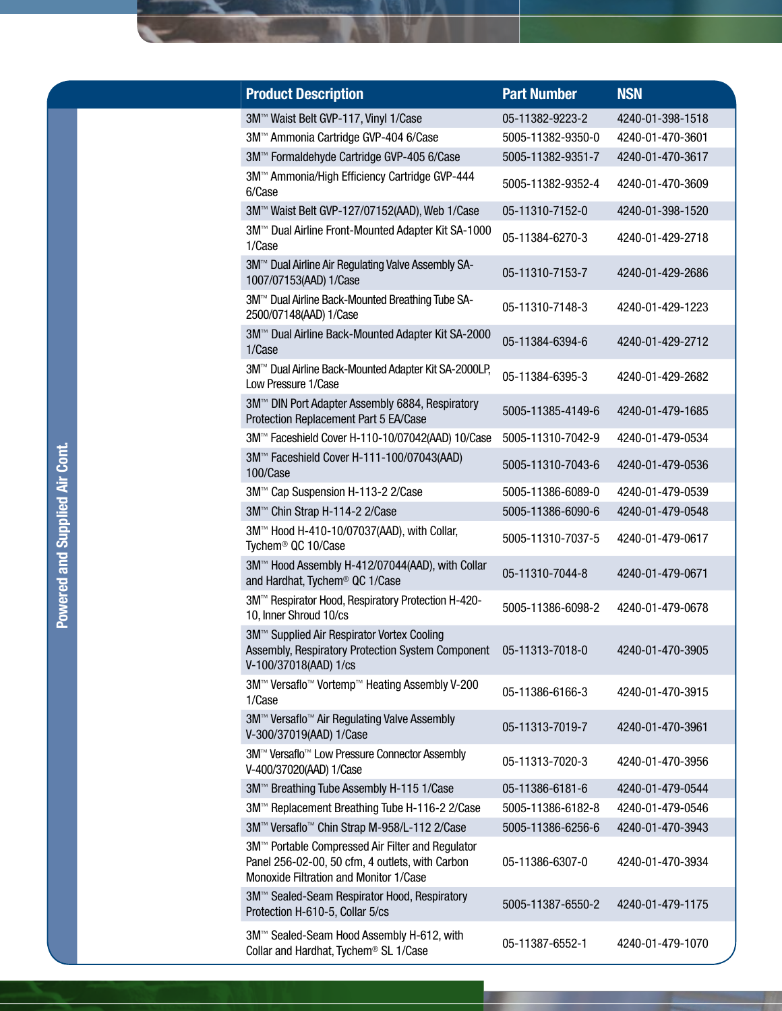| <b>Product Description</b>                                                                                                                           | <b>Part Number</b> | <b>NSN</b>       |
|------------------------------------------------------------------------------------------------------------------------------------------------------|--------------------|------------------|
| 3M™ Waist Belt GVP-117, Vinyl 1/Case                                                                                                                 | 05-11382-9223-2    | 4240-01-398-1518 |
| 3M™ Ammonia Cartridge GVP-404 6/Case                                                                                                                 | 5005-11382-9350-0  | 4240-01-470-3601 |
| 3M™ Formaldehyde Cartridge GVP-405 6/Case                                                                                                            | 5005-11382-9351-7  | 4240-01-470-3617 |
| 3M™ Ammonia/High Efficiency Cartridge GVP-444<br>6/Case                                                                                              | 5005-11382-9352-4  | 4240-01-470-3609 |
| 3M™ Waist Belt GVP-127/07152(AAD), Web 1/Case                                                                                                        | 05-11310-7152-0    | 4240-01-398-1520 |
| 3M™ Dual Airline Front-Mounted Adapter Kit SA-1000<br>1/Case                                                                                         | 05-11384-6270-3    | 4240-01-429-2718 |
| 3M <sup>™</sup> Dual Airline Air Regulating Valve Assembly SA-<br>1007/07153(AAD) 1/Case                                                             | 05-11310-7153-7    | 4240-01-429-2686 |
| 3M™ Dual Airline Back-Mounted Breathing Tube SA-<br>2500/07148(AAD) 1/Case                                                                           | 05-11310-7148-3    | 4240-01-429-1223 |
| 3M™ Dual Airline Back-Mounted Adapter Kit SA-2000<br>1/Case                                                                                          | 05-11384-6394-6    | 4240-01-429-2712 |
| 3M™ Dual Airline Back-Mounted Adapter Kit SA-2000LP,<br>Low Pressure 1/Case                                                                          | 05-11384-6395-3    | 4240-01-429-2682 |
| 3M™ DIN Port Adapter Assembly 6884, Respiratory<br>Protection Replacement Part 5 EA/Case                                                             | 5005-11385-4149-6  | 4240-01-479-1685 |
| 3M™ Faceshield Cover H-110-10/07042(AAD) 10/Case                                                                                                     | 5005-11310-7042-9  | 4240-01-479-0534 |
| 3M™ Faceshield Cover H-111-100/07043(AAD)<br>100/Case                                                                                                | 5005-11310-7043-6  | 4240-01-479-0536 |
| 3M™ Cap Suspension H-113-2 2/Case                                                                                                                    | 5005-11386-6089-0  | 4240-01-479-0539 |
| 3M™ Chin Strap H-114-2 2/Case                                                                                                                        | 5005-11386-6090-6  | 4240-01-479-0548 |
| 3M™ Hood H-410-10/07037(AAD), with Collar,<br>Tychem <sup>®</sup> QC 10/Case                                                                         | 5005-11310-7037-5  | 4240-01-479-0617 |
| 3M™ Hood Assembly H-412/07044(AAD), with Collar<br>and Hardhat, Tychem <sup>®</sup> QC 1/Case                                                        | 05-11310-7044-8    | 4240-01-479-0671 |
| 3M <sup>™</sup> Respirator Hood, Respiratory Protection H-420-<br>10, Inner Shroud 10/cs                                                             | 5005-11386-6098-2  | 4240-01-479-0678 |
| 3M™ Supplied Air Respirator Vortex Cooling<br>Assembly, Respiratory Protection System Component 05-11313-7018-0<br>V-100/37018(AAD) 1/cs             |                    | 4240-01-470-3905 |
| 3M™ Versaflo™ Vortemp™ Heating Assembly V-200<br>1/Case                                                                                              | 05-11386-6166-3    | 4240-01-470-3915 |
| 3M™ Versaflo™ Air Regulating Valve Assembly<br>V-300/37019(AAD) 1/Case                                                                               | 05-11313-7019-7    | 4240-01-470-3961 |
| 3M™ Versaflo™ Low Pressure Connector Assembly<br>V-400/37020(AAD) 1/Case                                                                             | 05-11313-7020-3    | 4240-01-470-3956 |
| 3M™ Breathing Tube Assembly H-115 1/Case                                                                                                             | 05-11386-6181-6    | 4240-01-479-0544 |
| 3M™ Replacement Breathing Tube H-116-2 2/Case                                                                                                        | 5005-11386-6182-8  | 4240-01-479-0546 |
| 3M™ Versaflo™ Chin Strap M-958/L-112 2/Case                                                                                                          | 5005-11386-6256-6  | 4240-01-470-3943 |
| 3M™ Portable Compressed Air Filter and Regulator<br>Panel 256-02-00, 50 cfm, 4 outlets, with Carbon<br><b>Monoxide Filtration and Monitor 1/Case</b> | 05-11386-6307-0    | 4240-01-470-3934 |
| 3M™ Sealed-Seam Respirator Hood, Respiratory<br>Protection H-610-5, Collar 5/cs                                                                      | 5005-11387-6550-2  | 4240-01-479-1175 |
| 3M™ Sealed-Seam Hood Assembly H-612, with<br>Collar and Hardhat, Tychem <sup>®</sup> SL 1/Case                                                       | 05-11387-6552-1    | 4240-01-479-1070 |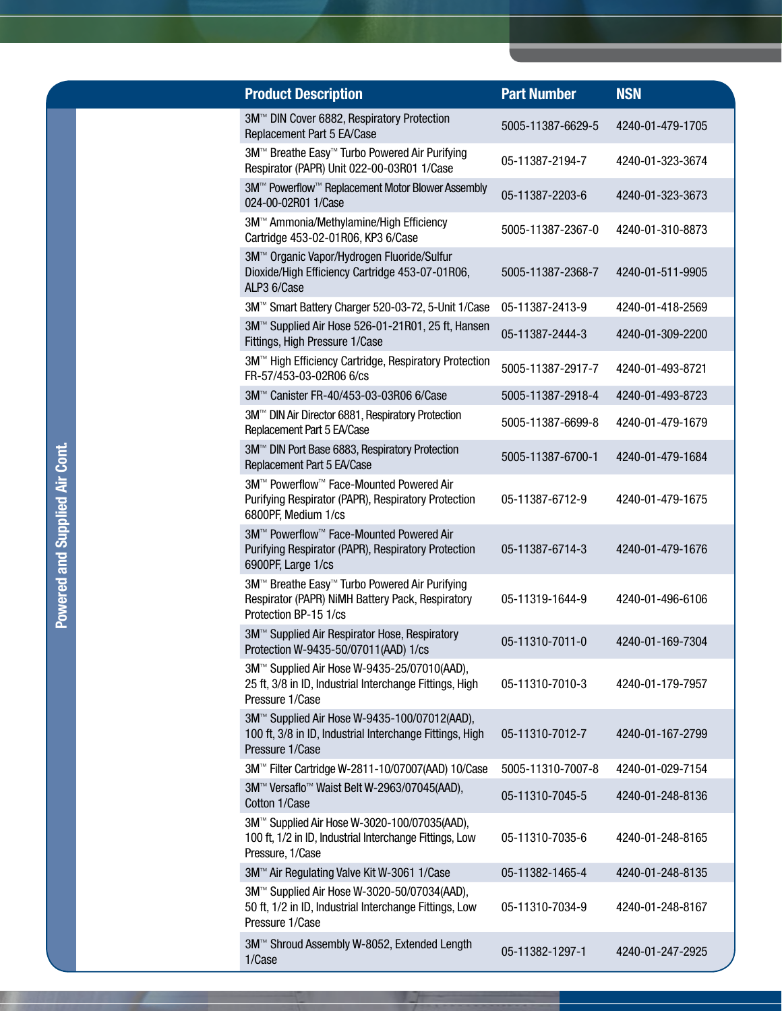| <b>Product Description</b>                                                                                                  | <b>Part Number</b> | <b>NSN</b>       |
|-----------------------------------------------------------------------------------------------------------------------------|--------------------|------------------|
| 3M™ DIN Cover 6882, Respiratory Protection<br>Replacement Part 5 EA/Case                                                    | 5005-11387-6629-5  | 4240-01-479-1705 |
| 3M™ Breathe Easy™ Turbo Powered Air Purifying<br>Respirator (PAPR) Unit 022-00-03R01 1/Case                                 | 05-11387-2194-7    | 4240-01-323-3674 |
| 3M <sup>™</sup> Powerflow <sup>™</sup> Replacement Motor Blower Assembly<br>024-00-02R01 1/Case                             | 05-11387-2203-6    | 4240-01-323-3673 |
| 3M™ Ammonia/Methylamine/High Efficiency<br>Cartridge 453-02-01R06, KP3 6/Case                                               | 5005-11387-2367-0  | 4240-01-310-8873 |
| 3M™ Organic Vapor/Hydrogen Fluoride/Sulfur<br>Dioxide/High Efficiency Cartridge 453-07-01R06,<br>ALP3 6/Case                | 5005-11387-2368-7  | 4240-01-511-9905 |
| 3M™ Smart Battery Charger 520-03-72, 5-Unit 1/Case                                                                          | 05-11387-2413-9    | 4240-01-418-2569 |
| 3M <sup>™</sup> Supplied Air Hose 526-01-21R01, 25 ft, Hansen<br>Fittings, High Pressure 1/Case                             | 05-11387-2444-3    | 4240-01-309-2200 |
| 3M™ High Efficiency Cartridge, Respiratory Protection<br>FR-57/453-03-02R06 6/cs                                            | 5005-11387-2917-7  | 4240-01-493-8721 |
| 3M™ Canister FR-40/453-03-03R06 6/Case                                                                                      | 5005-11387-2918-4  | 4240-01-493-8723 |
| 3M <sup>™</sup> DIN Air Director 6881, Respiratory Protection<br>Replacement Part 5 EA/Case                                 | 5005-11387-6699-8  | 4240-01-479-1679 |
| 3M™ DIN Port Base 6883, Respiratory Protection<br>Replacement Part 5 EA/Case                                                | 5005-11387-6700-1  | 4240-01-479-1684 |
| 3M™ Powerflow™ Face-Mounted Powered Air<br>Purifying Respirator (PAPR), Respiratory Protection<br>6800PF, Medium 1/cs       | 05-11387-6712-9    | 4240-01-479-1675 |
| 3M™ Powerflow™ Face-Mounted Powered Air<br>Purifying Respirator (PAPR), Respiratory Protection<br>6900PF, Large 1/cs        | 05-11387-6714-3    | 4240-01-479-1676 |
| 3M™ Breathe Easy™ Turbo Powered Air Purifying<br>Respirator (PAPR) NiMH Battery Pack, Respiratory<br>Protection BP-15 1/cs  | 05-11319-1644-9    | 4240-01-496-6106 |
| 3M™ Supplied Air Respirator Hose, Respiratory<br>Protection W-9435-50/07011(AAD) 1/cs                                       | 05-11310-7011-0    | 4240-01-169-7304 |
| 3M™ Supplied Air Hose W-9435-25/07010(AAD),<br>25 ft, 3/8 in ID, Industrial Interchange Fittings, High<br>Pressure 1/Case   | 05-11310-7010-3    | 4240-01-179-7957 |
| 3M™ Supplied Air Hose W-9435-100/07012(AAD),<br>100 ft, 3/8 in ID, Industrial Interchange Fittings, High<br>Pressure 1/Case | 05-11310-7012-7    | 4240-01-167-2799 |
| 3M <sup>™</sup> Filter Cartridge W-2811-10/07007(AAD) 10/Case                                                               | 5005-11310-7007-8  | 4240-01-029-7154 |
| 3M™ Versaflo™ Waist Belt W-2963/07045(AAD),<br>Cotton 1/Case                                                                | 05-11310-7045-5    | 4240-01-248-8136 |
| 3M™ Supplied Air Hose W-3020-100/07035(AAD),<br>100 ft, 1/2 in ID, Industrial Interchange Fittings, Low<br>Pressure, 1/Case | 05-11310-7035-6    | 4240-01-248-8165 |
| 3M™ Air Regulating Valve Kit W-3061 1/Case                                                                                  | 05-11382-1465-4    | 4240-01-248-8135 |
| 3M™ Supplied Air Hose W-3020-50/07034(AAD),<br>50 ft, 1/2 in ID, Industrial Interchange Fittings, Low<br>Pressure 1/Case    | 05-11310-7034-9    | 4240-01-248-8167 |
| 3M™ Shroud Assembly W-8052, Extended Length<br>1/Case                                                                       | 05-11382-1297-1    | 4240-01-247-2925 |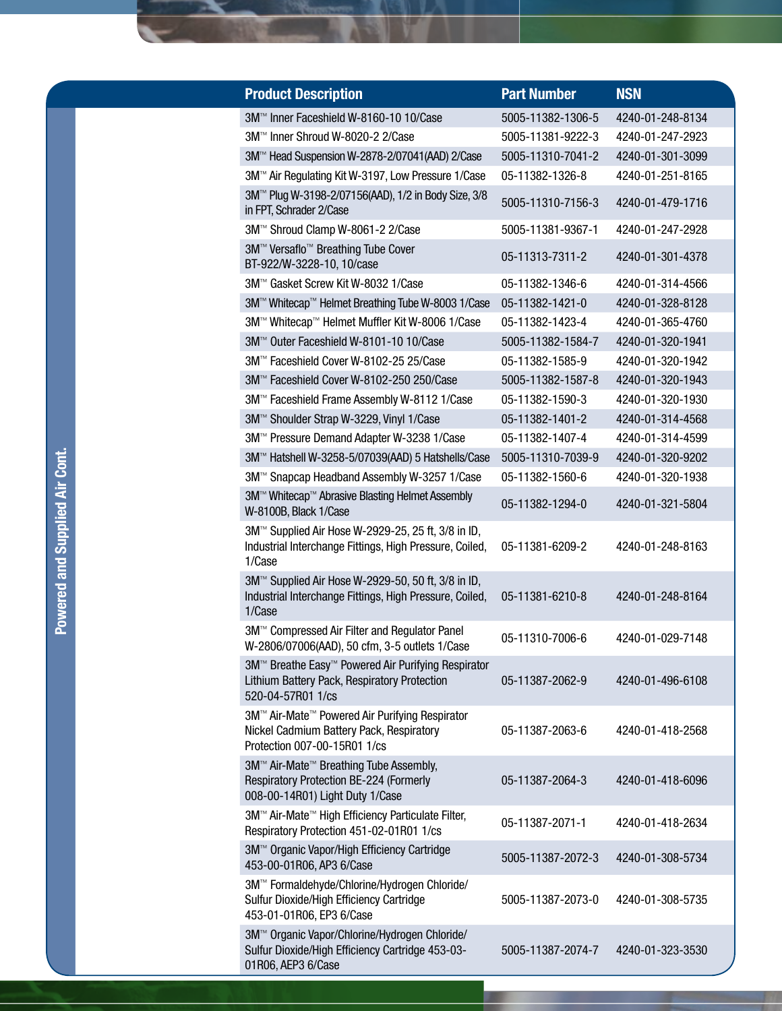| <b>Product Description</b>                                                                                                       | <b>Part Number</b> | <b>NSN</b>       |
|----------------------------------------------------------------------------------------------------------------------------------|--------------------|------------------|
| 3M™ Inner Faceshield W-8160-10 10/Case                                                                                           | 5005-11382-1306-5  | 4240-01-248-8134 |
| 3M™ Inner Shroud W-8020-2 2/Case                                                                                                 | 5005-11381-9222-3  | 4240-01-247-2923 |
| 3M <sup>™</sup> Head Suspension W-2878-2/07041(AAD) 2/Case                                                                       | 5005-11310-7041-2  | 4240-01-301-3099 |
| 3M™ Air Regulating Kit W-3197, Low Pressure 1/Case                                                                               | 05-11382-1326-8    | 4240-01-251-8165 |
| 3M™ Plug W-3198-2/07156(AAD), 1/2 in Body Size, 3/8<br>in FPT, Schrader 2/Case                                                   | 5005-11310-7156-3  | 4240-01-479-1716 |
| 3M™ Shroud Clamp W-8061-2 2/Case                                                                                                 | 5005-11381-9367-1  | 4240-01-247-2928 |
| 3M™ Versaflo™ Breathing Tube Cover<br>BT-922/W-3228-10, 10/case                                                                  | 05-11313-7311-2    | 4240-01-301-4378 |
| 3M™ Gasket Screw Kit W-8032 1/Case                                                                                               | 05-11382-1346-6    | 4240-01-314-4566 |
| 3M™ Whitecap™ Helmet Breathing Tube W-8003 1/Case                                                                                | 05-11382-1421-0    | 4240-01-328-8128 |
| 3M™ Whitecap™ Helmet Muffler Kit W-8006 1/Case                                                                                   | 05-11382-1423-4    | 4240-01-365-4760 |
| 3M™ Outer Faceshield W-8101-10 10/Case                                                                                           | 5005-11382-1584-7  | 4240-01-320-1941 |
| 3M™ Faceshield Cover W-8102-25 25/Case                                                                                           | 05-11382-1585-9    | 4240-01-320-1942 |
| 3M™ Faceshield Cover W-8102-250 250/Case                                                                                         | 5005-11382-1587-8  | 4240-01-320-1943 |
| 3M™ Faceshield Frame Assembly W-8112 1/Case                                                                                      | 05-11382-1590-3    | 4240-01-320-1930 |
| 3M™ Shoulder Strap W-3229, Vinyl 1/Case                                                                                          | 05-11382-1401-2    | 4240-01-314-4568 |
| 3M™ Pressure Demand Adapter W-3238 1/Case                                                                                        | 05-11382-1407-4    | 4240-01-314-4599 |
| 3M™ Hatshell W-3258-5/07039(AAD) 5 Hatshells/Case                                                                                | 5005-11310-7039-9  | 4240-01-320-9202 |
| 3M™ Snapcap Headband Assembly W-3257 1/Case                                                                                      | 05-11382-1560-6    | 4240-01-320-1938 |
| 3M™ Whitecap™ Abrasive Blasting Helmet Assembly<br>W-8100B, Black 1/Case                                                         | 05-11382-1294-0    | 4240-01-321-5804 |
| 3M™ Supplied Air Hose W-2929-25, 25 ft, 3/8 in ID,<br>Industrial Interchange Fittings, High Pressure, Coiled,<br>1/Case          | 05-11381-6209-2    | 4240-01-248-8163 |
| 3M™ Supplied Air Hose W-2929-50, 50 ft, 3/8 in ID,<br>Industrial Interchange Fittings, High Pressure, Coiled,<br>1/Case          | 05-11381-6210-8    | 4240-01-248-8164 |
| 3M™ Compressed Air Filter and Regulator Panel<br>W-2806/07006(AAD), 50 cfm, 3-5 outlets 1/Case                                   | 05-11310-7006-6    | 4240-01-029-7148 |
| 3M™ Breathe Easy™ Powered Air Purifying Respirator<br>Lithium Battery Pack, Respiratory Protection<br>520-04-57R01 1/cs          | 05-11387-2062-9    | 4240-01-496-6108 |
| 3M™ Air-Mate™ Powered Air Purifying Respirator<br>Nickel Cadmium Battery Pack, Respiratory<br>Protection 007-00-15R01 1/cs       | 05-11387-2063-6    | 4240-01-418-2568 |
| 3M™ Air-Mate <sup>™</sup> Breathing Tube Assembly,<br>Respiratory Protection BE-224 (Formerly<br>008-00-14R01) Light Duty 1/Case | 05-11387-2064-3    | 4240-01-418-6096 |
| 3M™ Air-Mate™ High Efficiency Particulate Filter,<br>Respiratory Protection 451-02-01R01 1/cs                                    | 05-11387-2071-1    | 4240-01-418-2634 |
| 3M™ Organic Vapor/High Efficiency Cartridge<br>453-00-01R06, AP3 6/Case                                                          | 5005-11387-2072-3  | 4240-01-308-5734 |
| 3M™ Formaldehyde/Chlorine/Hydrogen Chloride/<br>Sulfur Dioxide/High Efficiency Cartridge<br>453-01-01R06, EP3 6/Case             | 5005-11387-2073-0  | 4240-01-308-5735 |
| 3M™ Organic Vapor/Chlorine/Hydrogen Chloride/<br>Sulfur Dioxide/High Efficiency Cartridge 453-03-<br>01R06, AEP3 6/Case          | 5005-11387-2074-7  | 4240-01-323-3530 |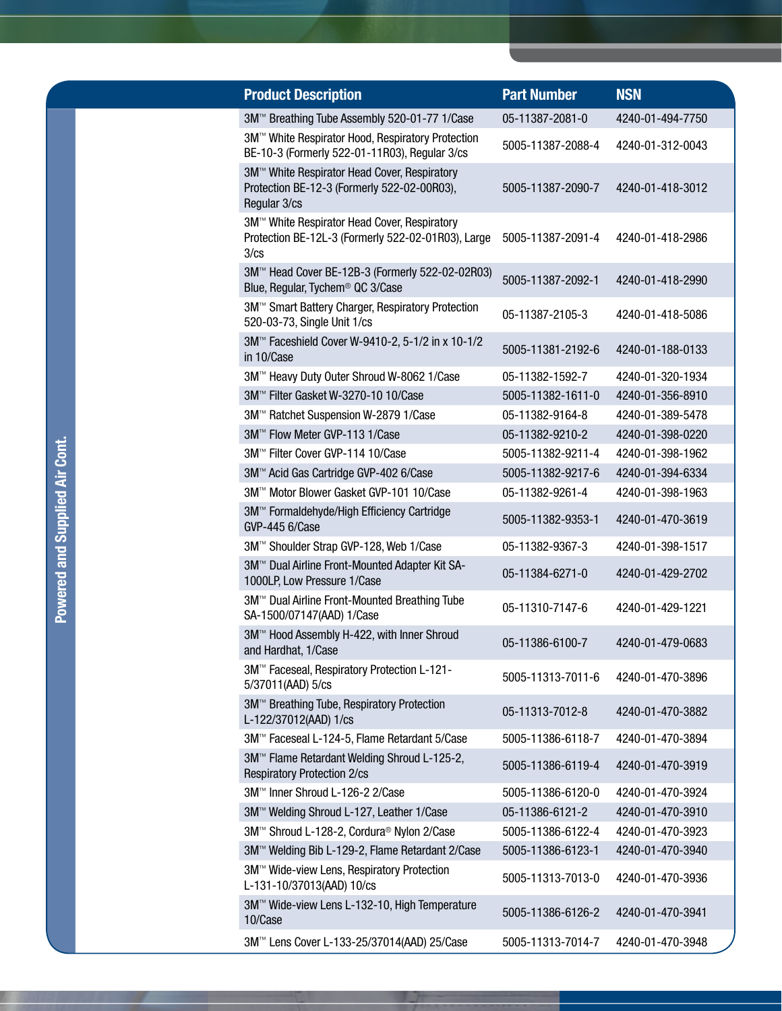| <b>Product Description</b>                                                                                  | <b>Part Number</b> | <b>NSN</b>       |
|-------------------------------------------------------------------------------------------------------------|--------------------|------------------|
| 3M™ Breathing Tube Assembly 520-01-77 1/Case                                                                | 05-11387-2081-0    | 4240-01-494-7750 |
| 3M™ White Respirator Hood, Respiratory Protection<br>BE-10-3 (Formerly 522-01-11R03), Regular 3/cs          | 5005-11387-2088-4  | 4240-01-312-0043 |
| 3M™ White Respirator Head Cover, Respiratory<br>Protection BE-12-3 (Formerly 522-02-00R03),<br>Regular 3/cs | 5005-11387-2090-7  | 4240-01-418-3012 |
| 3M™ White Respirator Head Cover, Respiratory<br>Protection BE-12L-3 (Formerly 522-02-01R03), Large<br>3/cs  | 5005-11387-2091-4  | 4240-01-418-2986 |
| 3M™ Head Cover BE-12B-3 (Formerly 522-02-02R03)<br>Blue, Regular, Tychem <sup>®</sup> QC 3/Case             | 5005-11387-2092-1  | 4240-01-418-2990 |
| 3M™ Smart Battery Charger, Respiratory Protection<br>520-03-73, Single Unit 1/cs                            | 05-11387-2105-3    | 4240-01-418-5086 |
| 3M™ Faceshield Cover W-9410-2, 5-1/2 in x 10-1/2<br>in 10/Case                                              | 5005-11381-2192-6  | 4240-01-188-0133 |
| 3M™ Heavy Duty Outer Shroud W-8062 1/Case                                                                   | 05-11382-1592-7    | 4240-01-320-1934 |
| 3M™ Filter Gasket W-3270-10 10/Case                                                                         | 5005-11382-1611-0  | 4240-01-356-8910 |
| 3M™ Ratchet Suspension W-2879 1/Case                                                                        | 05-11382-9164-8    | 4240-01-389-5478 |
| 3M™ Flow Meter GVP-113 1/Case                                                                               | 05-11382-9210-2    | 4240-01-398-0220 |
| 3M™ Filter Cover GVP-114 10/Case                                                                            | 5005-11382-9211-4  | 4240-01-398-1962 |
| 3M™ Acid Gas Cartridge GVP-402 6/Case                                                                       | 5005-11382-9217-6  | 4240-01-394-6334 |
| 3M™ Motor Blower Gasket GVP-101 10/Case                                                                     | 05-11382-9261-4    | 4240-01-398-1963 |
| 3M™ Formaldehyde/High Efficiency Cartridge<br><b>GVP-445 6/Case</b>                                         | 5005-11382-9353-1  | 4240-01-470-3619 |
| 3M™ Shoulder Strap GVP-128, Web 1/Case                                                                      | 05-11382-9367-3    | 4240-01-398-1517 |
| 3M™ Dual Airline Front-Mounted Adapter Kit SA-<br>1000LP, Low Pressure 1/Case                               | 05-11384-6271-0    | 4240-01-429-2702 |
| 3M™ Dual Airline Front-Mounted Breathing Tube<br>SA-1500/07147(AAD) 1/Case                                  | 05-11310-7147-6    | 4240-01-429-1221 |
| 3M™ Hood Assembly H-422, with Inner Shroud<br>and Hardhat, 1/Case                                           | 05-11386-6100-7    | 4240-01-479-0683 |
| 3M™ Faceseal, Respiratory Protection L-121-<br>5/37011(AAD) 5/cs                                            | 5005-11313-7011-6  | 4240-01-470-3896 |
| 3M™ Breathing Tube, Respiratory Protection<br>L-122/37012(AAD) 1/cs                                         | 05-11313-7012-8    | 4240-01-470-3882 |
| 3M™ Faceseal L-124-5, Flame Retardant 5/Case                                                                | 5005-11386-6118-7  | 4240-01-470-3894 |
| 3M™ Flame Retardant Welding Shroud L-125-2,<br><b>Respiratory Protection 2/cs</b>                           | 5005-11386-6119-4  | 4240-01-470-3919 |
| 3M™ Inner Shroud L-126-2 2/Case                                                                             | 5005-11386-6120-0  | 4240-01-470-3924 |
| 3M™ Welding Shroud L-127, Leather 1/Case                                                                    | 05-11386-6121-2    | 4240-01-470-3910 |
| 3M™ Shroud L-128-2, Cordura <sup>®</sup> Nylon 2/Case                                                       | 5005-11386-6122-4  | 4240-01-470-3923 |
| 3M™ Welding Bib L-129-2, Flame Retardant 2/Case                                                             | 5005-11386-6123-1  | 4240-01-470-3940 |
| 3M™ Wide-view Lens, Respiratory Protection<br>L-131-10/37013(AAD) 10/cs                                     | 5005-11313-7013-0  | 4240-01-470-3936 |
| 3M™ Wide-view Lens L-132-10, High Temperature<br>10/Case                                                    | 5005-11386-6126-2  | 4240-01-470-3941 |
| 3M™ Lens Cover L-133-25/37014(AAD) 25/Case                                                                  | 5005-11313-7014-7  | 4240-01-470-3948 |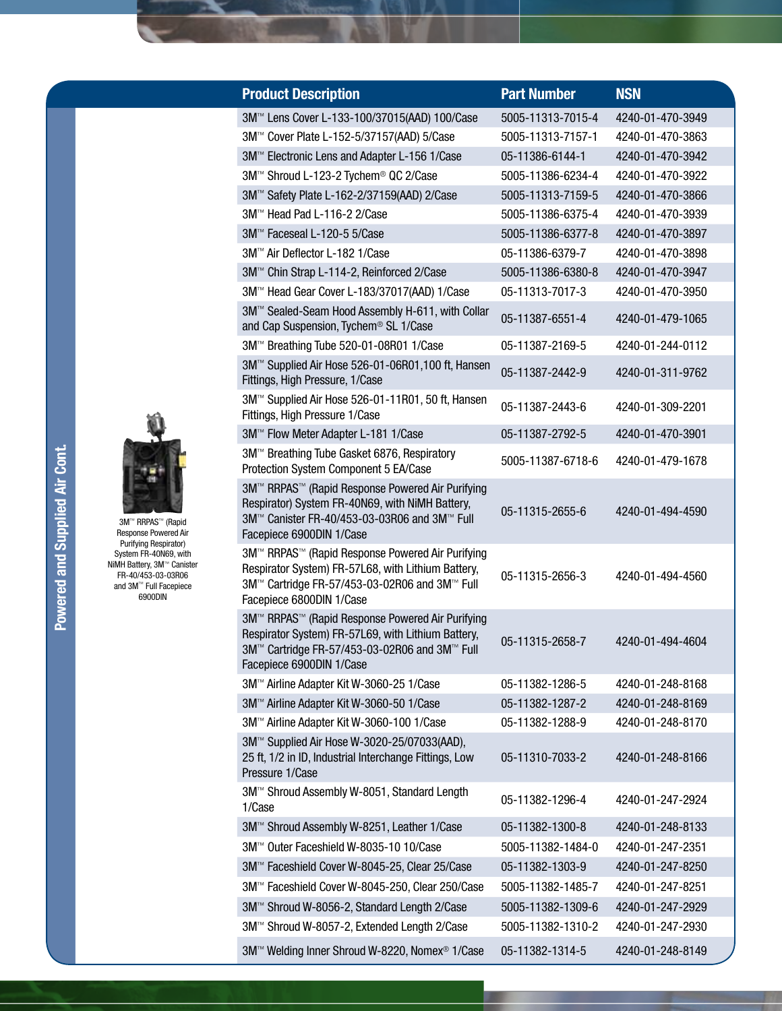| <b>Product Description</b>                                                                                                                                                          | <b>Part Number</b> | <b>NSN</b>       |
|-------------------------------------------------------------------------------------------------------------------------------------------------------------------------------------|--------------------|------------------|
| 3M™ Lens Cover L-133-100/37015(AAD) 100/Case                                                                                                                                        | 5005-11313-7015-4  | 4240-01-470-3949 |
| 3M™ Cover Plate L-152-5/37157(AAD) 5/Case                                                                                                                                           | 5005-11313-7157-1  | 4240-01-470-3863 |
| 3M™ Electronic Lens and Adapter L-156 1/Case                                                                                                                                        | 05-11386-6144-1    | 4240-01-470-3942 |
| 3M™ Shroud L-123-2 Tychem® QC 2/Case                                                                                                                                                | 5005-11386-6234-4  | 4240-01-470-3922 |
| 3M™ Safety Plate L-162-2/37159(AAD) 2/Case                                                                                                                                          | 5005-11313-7159-5  | 4240-01-470-3866 |
| 3M™ Head Pad L-116-2 2/Case                                                                                                                                                         | 5005-11386-6375-4  | 4240-01-470-3939 |
| 3M™ Faceseal L-120-5 5/Case                                                                                                                                                         | 5005-11386-6377-8  | 4240-01-470-3897 |
| 3M™ Air Deflector L-182 1/Case                                                                                                                                                      | 05-11386-6379-7    | 4240-01-470-3898 |
| 3M™ Chin Strap L-114-2, Reinforced 2/Case                                                                                                                                           | 5005-11386-6380-8  | 4240-01-470-3947 |
| 3M™ Head Gear Cover L-183/37017(AAD) 1/Case                                                                                                                                         | 05-11313-7017-3    | 4240-01-470-3950 |
| 3M <sup>™</sup> Sealed-Seam Hood Assembly H-611, with Collar<br>and Cap Suspension, Tychem <sup>®</sup> SL 1/Case                                                                   | 05-11387-6551-4    | 4240-01-479-1065 |
| 3M™ Breathing Tube 520-01-08R01 1/Case                                                                                                                                              | 05-11387-2169-5    | 4240-01-244-0112 |
| 3M™ Supplied Air Hose 526-01-06R01,100 ft, Hansen<br>Fittings, High Pressure, 1/Case                                                                                                | 05-11387-2442-9    | 4240-01-311-9762 |
| 3M™ Supplied Air Hose 526-01-11R01, 50 ft, Hansen<br>Fittings, High Pressure 1/Case                                                                                                 | 05-11387-2443-6    | 4240-01-309-2201 |
| 3M™ Flow Meter Adapter L-181 1/Case                                                                                                                                                 | 05-11387-2792-5    | 4240-01-470-3901 |
| 3M™ Breathing Tube Gasket 6876, Respiratory<br>Protection System Component 5 EA/Case                                                                                                | 5005-11387-6718-6  | 4240-01-479-1678 |
| 3M™ RRPAS™ (Rapid Response Powered Air Purifying<br>Respirator) System FR-40N69, with NiMH Battery,<br>3M™ Canister FR-40/453-03-03R06 and 3M™ Full<br>Facepiece 6900DIN 1/Case     | 05-11315-2655-6    | 4240-01-494-4590 |
| 3M™ RRPAS™ (Rapid Response Powered Air Purifying<br>Respirator System) FR-57L68, with Lithium Battery,<br>3M™ Cartridge FR-57/453-03-02R06 and 3M™ Full<br>Facepiece 6800DIN 1/Case | 05-11315-2656-3    | 4240-01-494-4560 |
| 3M™ RRPAS™ (Rapid Response Powered Air Purifying<br>Respirator System) FR-57L69, with Lithium Battery,<br>3M™ Cartridge FR-57/453-03-02R06 and 3M™ Full<br>Facepiece 6900DIN 1/Case | 05-11315-2658-7    | 4240-01-494-4604 |
| 3M™ Airline Adapter Kit W-3060-25 1/Case                                                                                                                                            | 05-11382-1286-5    | 4240-01-248-8168 |
| 3M™ Airline Adapter Kit W-3060-50 1/Case                                                                                                                                            | 05-11382-1287-2    | 4240-01-248-8169 |
| 3M™ Airline Adapter Kit W-3060-100 1/Case                                                                                                                                           | 05-11382-1288-9    | 4240-01-248-8170 |
| 3M™ Supplied Air Hose W-3020-25/07033(AAD),<br>25 ft, 1/2 in ID, Industrial Interchange Fittings, Low<br>Pressure 1/Case                                                            | 05-11310-7033-2    | 4240-01-248-8166 |
| 3M™ Shroud Assembly W-8051, Standard Length<br>1/Case                                                                                                                               | 05-11382-1296-4    | 4240-01-247-2924 |
| 3M™ Shroud Assembly W-8251, Leather 1/Case                                                                                                                                          | 05-11382-1300-8    | 4240-01-248-8133 |
| 3M™ Outer Faceshield W-8035-10 10/Case                                                                                                                                              | 5005-11382-1484-0  | 4240-01-247-2351 |
| 3M™ Faceshield Cover W-8045-25, Clear 25/Case                                                                                                                                       | 05-11382-1303-9    | 4240-01-247-8250 |
| 3M™ Faceshield Cover W-8045-250, Clear 250/Case                                                                                                                                     | 5005-11382-1485-7  | 4240-01-247-8251 |
| 3M™ Shroud W-8056-2, Standard Length 2/Case                                                                                                                                         | 5005-11382-1309-6  | 4240-01-247-2929 |
| 3M™ Shroud W-8057-2, Extended Length 2/Case                                                                                                                                         | 5005-11382-1310-2  | 4240-01-247-2930 |
| 3M™ Welding Inner Shroud W-8220, Nomex <sup>®</sup> 1/Case                                                                                                                          | 05-11382-1314-5    | 4240-01-248-8149 |

3M™ RRPAS™ (Rapid Response Powered Air Purifying Respirator) System FR-40N69, with NiMH Battery, 3M™ Canister FR-40/453-03-03R06 and 3M™ Full Facepiece 6900DIN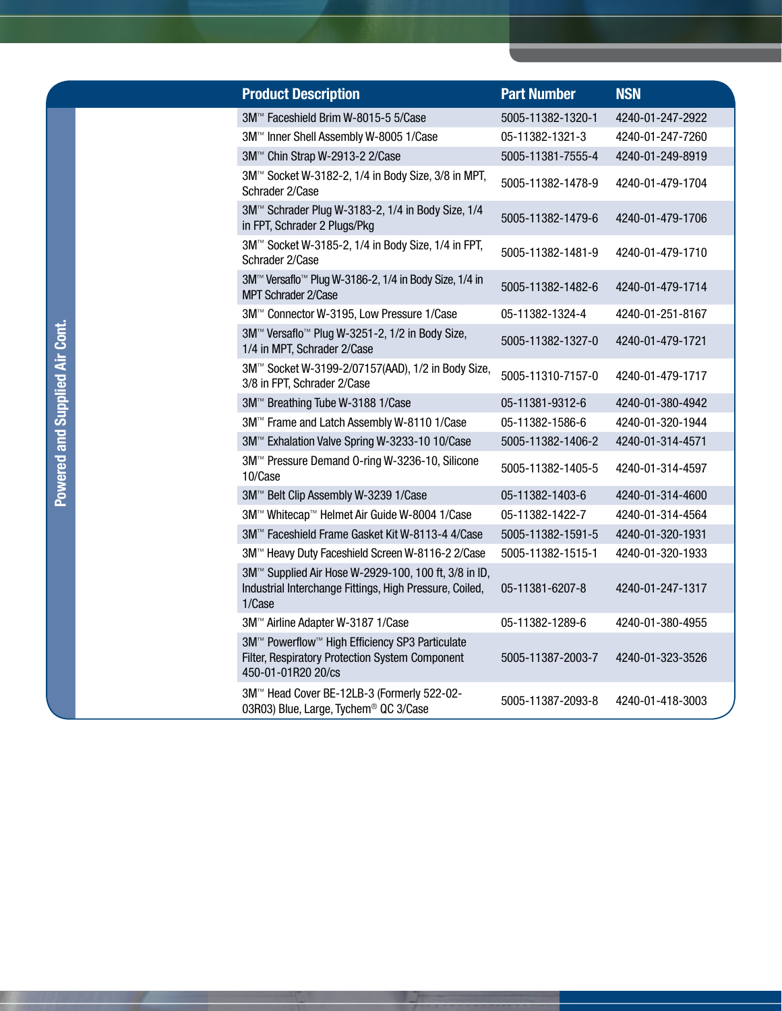| <b>Product Description</b>                                                                                                | <b>Part Number</b> | <b>NSN</b>       |  |
|---------------------------------------------------------------------------------------------------------------------------|--------------------|------------------|--|
| 3M™ Faceshield Brim W-8015-5 5/Case                                                                                       | 5005-11382-1320-1  | 4240-01-247-2922 |  |
| 3M™ Inner Shell Assembly W-8005 1/Case                                                                                    | 05-11382-1321-3    | 4240-01-247-7260 |  |
| 3M™ Chin Strap W-2913-2 2/Case                                                                                            | 5005-11381-7555-4  | 4240-01-249-8919 |  |
| 3M™ Socket W-3182-2, 1/4 in Body Size, 3/8 in MPT,<br>Schrader 2/Case                                                     | 5005-11382-1478-9  | 4240-01-479-1704 |  |
| 3M™ Schrader Plug W-3183-2, 1/4 in Body Size, 1/4<br>in FPT, Schrader 2 Plugs/Pkg                                         | 5005-11382-1479-6  | 4240-01-479-1706 |  |
| 3M™ Socket W-3185-2, 1/4 in Body Size, 1/4 in FPT,<br>Schrader 2/Case                                                     | 5005-11382-1481-9  | 4240-01-479-1710 |  |
| 3M <sup>™</sup> Versaflo <sup>™</sup> Plug W-3186-2, 1/4 in Body Size, 1/4 in<br><b>MPT Schrader 2/Case</b>               | 5005-11382-1482-6  | 4240-01-479-1714 |  |
| 3M™ Connector W-3195, Low Pressure 1/Case                                                                                 | 05-11382-1324-4    | 4240-01-251-8167 |  |
| 3M™ Versaflo™ Plug W-3251-2, 1/2 in Body Size,<br>1/4 in MPT, Schrader 2/Case                                             | 5005-11382-1327-0  | 4240-01-479-1721 |  |
| 3M™ Socket W-3199-2/07157(AAD), 1/2 in Body Size,<br>3/8 in FPT, Schrader 2/Case                                          | 5005-11310-7157-0  | 4240-01-479-1717 |  |
| 3M™ Breathing Tube W-3188 1/Case                                                                                          | 05-11381-9312-6    | 4240-01-380-4942 |  |
| 3M™ Frame and Latch Assembly W-8110 1/Case                                                                                | 05-11382-1586-6    | 4240-01-320-1944 |  |
| 3M™ Exhalation Valve Spring W-3233-10 10/Case                                                                             | 5005-11382-1406-2  | 4240-01-314-4571 |  |
| 3M™ Pressure Demand O-ring W-3236-10, Silicone<br>10/Case                                                                 | 5005-11382-1405-5  | 4240-01-314-4597 |  |
| 3M™ Belt Clip Assembly W-3239 1/Case                                                                                      | 05-11382-1403-6    | 4240-01-314-4600 |  |
| 3M™ Whitecap™ Helmet Air Guide W-8004 1/Case                                                                              | 05-11382-1422-7    | 4240-01-314-4564 |  |
| 3M™ Faceshield Frame Gasket Kit W-8113-4 4/Case                                                                           | 5005-11382-1591-5  | 4240-01-320-1931 |  |
| 3M™ Heavy Duty Faceshield Screen W-8116-2 2/Case                                                                          | 5005-11382-1515-1  | 4240-01-320-1933 |  |
| 3M™ Supplied Air Hose W-2929-100, 100 ft, 3/8 in ID,<br>Industrial Interchange Fittings, High Pressure, Coiled,<br>1/Case | 05-11381-6207-8    | 4240-01-247-1317 |  |
| 3M™ Airline Adapter W-3187 1/Case                                                                                         | 05-11382-1289-6    | 4240-01-380-4955 |  |
| 3M™ Powerflow™ High Efficiency SP3 Particulate<br>Filter, Respiratory Protection System Component<br>450-01-01R20 20/cs   | 5005-11387-2003-7  | 4240-01-323-3526 |  |
| 3M™ Head Cover BE-12LB-3 (Formerly 522-02-<br>03R03) Blue, Large, Tychem <sup>®</sup> QC 3/Case                           | 5005-11387-2093-8  | 4240-01-418-3003 |  |